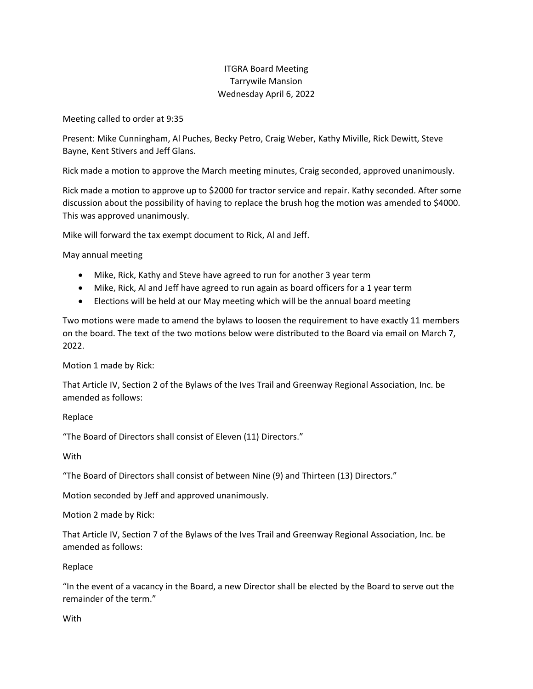## ITGRA Board Meeting Tarrywile Mansion Wednesday April 6, 2022

Meeting called to order at 9:35

Present: Mike Cunningham, Al Puches, Becky Petro, Craig Weber, Kathy Miville, Rick Dewitt, Steve Bayne, Kent Stivers and Jeff Glans.

Rick made a motion to approve the March meeting minutes, Craig seconded, approved unanimously.

Rick made a motion to approve up to \$2000 for tractor service and repair. Kathy seconded. After some discussion about the possibility of having to replace the brush hog the motion was amended to \$4000. This was approved unanimously.

Mike will forward the tax exempt document to Rick, Al and Jeff.

May annual meeting

- Mike, Rick, Kathy and Steve have agreed to run for another 3 year term
- Mike, Rick, Al and Jeff have agreed to run again as board officers for a 1 year term
- Elections will be held at our May meeting which will be the annual board meeting

Two motions were made to amend the bylaws to loosen the requirement to have exactly 11 members on the board. The text of the two motions below were distributed to the Board via email on March 7, 2022.

Motion 1 made by Rick:

That Article IV, Section 2 of the Bylaws of the Ives Trail and Greenway Regional Association, Inc. be amended as follows:

Replace

"The Board of Directors shall consist of Eleven (11) Directors."

**With** 

"The Board of Directors shall consist of between Nine (9) and Thirteen (13) Directors."

Motion seconded by Jeff and approved unanimously.

Motion 2 made by Rick:

That Article IV, Section 7 of the Bylaws of the Ives Trail and Greenway Regional Association, Inc. be amended as follows:

Replace

"In the event of a vacancy in the Board, a new Director shall be elected by the Board to serve out the remainder of the term."

With